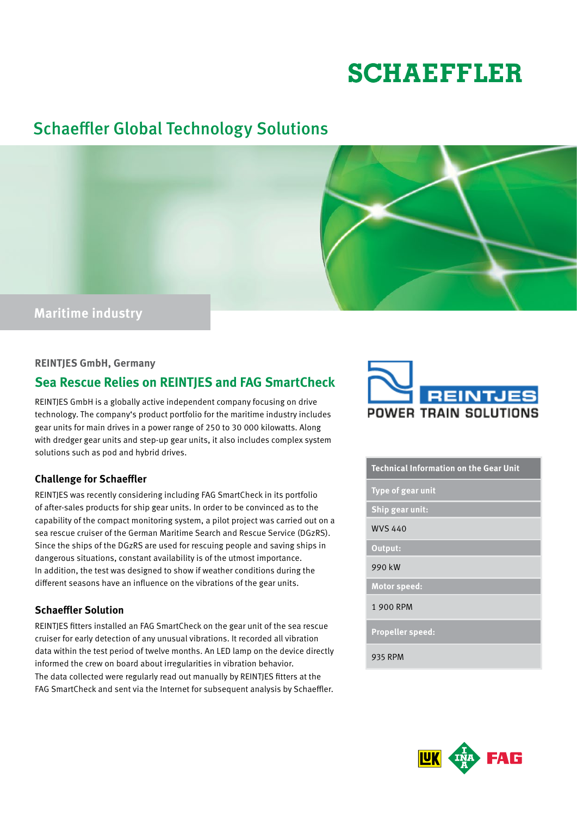# **SCHAEFFLER**

# Schaeffler Global Technology Solutions



## **REINTJES GmbH, Germany**

# **Sea Rescue Relies on REINTJES and FAG SmartCheck**

REINTJES GmbH is a globally active independent company focusing on drive technology. The company's product portfolio for the maritime industry includes gear units for main drives in a power range of 250 to 30 000 kilowatts. Along with dredger gear units and step-up gear units, it also includes complex system solutions such as pod and hybrid drives.

## **Challenge for Schaeffler**

REINTJES was recently considering including FAG SmartCheck in its portfolio of after-sales products for ship gear units. In order to be convinced as to the capability of the compact monitoring system, a pilot project was carried out on a sea rescue cruiser of the German Maritime Search and Rescue Service (DGzRS). Since the ships of the DGzRS are used for rescuing people and saving ships in dangerous situations, constant availability is of the utmost importance. In addition, the test was designed to show if weather conditions during the different seasons have an influence on the vibrations of the gear units.

# **Schaeffler Solution**

REINTJES fitters installed an FAG SmartCheck on the gear unit of the sea rescue cruiser for early detection of any unusual vibrations. It recorded all vibration data within the test period of twelve months. An LED lamp on the device directly informed the crew on board about irregularities in vibration behavior. The data collected were regularly read out manually by REINTJES fitters at the FAG SmartCheck and sent via the Internet for subsequent analysis by Schaeffler.



#### **Technical Information on the Gear Unit**

**Type of gear unit**

**Ship gear unit:**

WVS 440

**Output:**

990 kW

**Motor speed:**

1 900 RPM

**Propeller speed:**

935 RPM